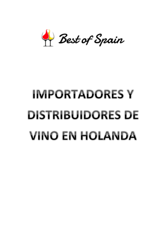

# **IMPORTADORES Y DISTRIBUIDORES DE VINO EN HOLANDA**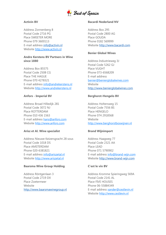

## **Activin BV**

Address Zonnenberg 8 Postal Code 2716 PG Place SWEETER MORE Phone 079 3600113 E-mail address [info@activin.nl](mailto:info@activin.nl) Website [http://www.activin.nl](http://www.activin.nl/)

# **Andre Kerstens BV Partners in Wine since 1880**

Address Box 85575 Postal Code 2508 CG Place THE HAGUE Phone 070 4278321 E-mail address [info@andrekerstens.nl](mailto:info@andrekerstens.nl) Website [http://www.andrekerstens.nl](http://www.andrekerstens.nl/)

## **Anfors - Imperial BV**

Address Broad Hilledijk 281 Postal Code 3072 NJ Place ROTTERDAM Phone 010 436 1563 E-mail address [hans@anfors.com](mailto:hans@anfors.com) Website [http://www.anfors.com](http://www.anfors.com/)

## **Arisz et Al. Wine specialist**

Address Nieuwe Keizersgracht 28 sous Postal Code 1018 DS Place AMSTERDAM Phone 020-6381821 E-mail address [info@ariszetal.nl](mailto:info@ariszetal.nl) Website [http://www.ariszetal.nl](http://www.ariszetal.nl/)

# **Baarsma Wine Group Holding**

Address Röntgenlaan 3 Postal Code 2719 DX Place Zoetermeer Website [http://www.baarsmawinegroup.nl](http://www.baarsmawinegroup.nl/)

## **Bacardi Nederland NV**

Address Box 295 Postal Code 2800 AG Place GOUDA Phone 0182 569999 Website [http://www.bacardi.com](http://www.bacardi.com/)

## **Benier Global Wines**

Address Industrieweg 3J Postal Code 5262 GJ Place VUGHT Phone 073-6568209 E-mail address [benier@benierglobalwines.com](mailto:benier@benierglobalwines.com) Website [http://www.benierglobalwines.com](http://www.benierglobalwines.com/)

## **Berghorst-Hengelo BV**

Address Holtersweg 15 Postal Code 7556 BS Place HENGELO Phone 074 2918568 Website [http://www.berghorstboswijnen.nl](http://www.berghorstboswijnen.nl/)

## **Brand Wijnimport**

Address Haagweg 77 Postal Code 2321 AA Place LEAD Phone 071 5790902 E-mail address [info@brand-wijn.com](mailto:info@brand-wijn.com) Website [http://www.brand-wijn.com](http://www.brand-wijn.com/)

## **C'est le vin BV**

Address Kromme Spieringweg 569A Postal Code 2141 AL Place FIVE HOUSES Phone 06-55884349 E-mail address [xander@cestlevin.nl](mailto:xander@cestlevin.nl) Website [http://www.cestlevin.nl](http://www.cestlevin.nl/)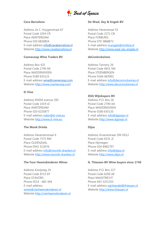

## **Cava Barcelona**

Address 2e C. Huygenstraat 67 Postal Code 1054 CR Place AMSTERDAM Phone 020 6830854 E-mail address [info@cavabarcelona.nl](mailto:info@cavabarcelona.nl) Website [http://www.cavabarcelona.nl](http://www.cavabarcelona.nl/)

## **Coenecoop Wine Traders BV**

Address Box 425 Postal Code 2740 AK Place WADDINXVEEN Phone 0180 635123 E-mail address [wine@coenecoop.com](mailto:wine@coenecoop.com) Website [http://www.coenecoop.com](http://www.coenecoop.com/)

## **D-Vine**

Address KNSM avenue 293 Postal Code 1019 LE Place AMSTERDAM Phone 020 6235877 E-mail address [robin@d-vine.eu](mailto:robin@d-vine.eu) Website [http://www.d-vine.eu](http://www.d-vine.eu/)

## **The Monk Drinks**

Address Deventerstraat 6 Postal Code 7575 RM Place OLDENZAAL Phone 0541 513076 E-mail address [info@monnik-dranken.nl](mailto:info@monnik-dranken.nl) Website [http://www.monnik-dranken.nl](http://www.monnik-dranken.nl/)

#### **The Four Heemskinderen Wines**

Address Kooijweg 24 Postal Code 8715 EP Place STAVORS Phone 0514 - 681 444 E-mail address [wines@vierheemskinderen.nl](mailto:wijnen@vierheemskinderen.nl) Website [http://vierheemskinderen.nl](http://vierheemskinderen.nl/)

## **De Waal, Zey & Engels BV**

Address Herenstraat 55 Postal Code 2271 CB Place FORBURG Phone 070 3868872 E-mail address [m.engels@vinifera.nl](mailto:m.engels@vinifera.nl) Website [http://www.waal-zey-engels.nl](http://www.waal-zey-engels.nl/)

## **deConinckwines**

Address Tannery 26 Postal Code 4651 SM Place STEENBERGEN Phone 0166-663901 E-mail address [info@deconinckwines.nl](mailto:info@deconinckwines.nl) Website [http://www.deconinckwines.nl](http://www.deconinckwines.nl/)

## **DGS Wijnkopers BV**

Address P.O. Box 26 Postal Code 2740 AA Place WADDINXVEEN Phone 0180 635135 E-mail address [info@dgswijn.nl](mailto:info@dgswijn.nl) Website [http://www.dgswijn.nl](http://www.dgswijn.nl/)

## **Dijso**

Address Groenestraat 294 D012 Postal Code 6531 JC Place Nijmegen Phone 024-8481797 E-mail address [info@dijso.nl](mailto:info@dijso.nl) Website [http://www.dijso.nl](http://www.dijso.nl/)

#### **G. Thiessen BV Wine buyers since 1740**

Address P.O. Box 227 Postal Code 6200 AE Place MAASTRICHT Phone 043 3251355 E-mail address [wijnhandel@thiessen.nl](mailto:wijnhandel@thiessen.nl) Website [http://www.thiessen.nl](http://www.thiessen.nl/)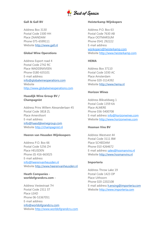

## **Gall & Gall BV**

Address Box 3130 Postal Code 1500 HH Place ZAANDAM Phone 075-6599111 Website [http://www.gall.nl](http://www.gall.nl/)

## **Global Wine Operations**

Address Export road 4 Postal Code 2742 RC Place WADDINXVEEN Phone 0180-635101 E-mail address [info@globalwineoperations.com](mailto:info@globalwineoperations.com) Website [http://www.globalwineoperations.com](http://www.globalwineoperations.com/)

#### **Haasdijk Wine Group BV / Champagnist**

Address Prins Willem Alexanderlaan 45 Postal Code 3818 ZL Place Amersfoort E-mail address [info@haasdijkwinegroup.com](mailto:info@haasdijkwinegroup.com) Website [http://champagnist.nl](http://champagnist.nl/)

#### **Heeren van Heusden Wijnkoopers**

Address P.O. Box 66 Postal Code 5256 ZH Place HEUSDEN Phone (0) 416-663025 E-mail address [info@heerenvanheusden.nl](mailto:info@heerenvanheusden.nl) Website [http://www.heerenvanheusden.nl](http://www.heerenvanheusden.nl/)

# **Heath Companies worldofgrandcru.com -**

Address Vestestraat 7H Postal Code 2311 ST Place LEAD Phone 06-53367051 E-mail address [info@worldofgrandcru.com](mailto:info@worldofgrandcru.com) Website [http://www.worldofgrandcru.com](http://www.worldofgrandcru.com/)

## **Heisterkamp Wijnkopers**

Address P.O. Box 63 Postal Code 7630 AB Place OOTMARSUM Phone 0541 292222 E-mail address [wijnkopers@heisterkamp.com](mailto:wijnkopers@heisterkamp.com) Website [http://www.heisterkamp.com](http://www.heisterkamp.com/)

## **HEMA**

Address Box 37110 Postal Code 1030 AC Place Amsterdam Phone 020-3114392 Website [http://www.hema.nl](http://www.hema.nl/)

## **Horizon Wines**

Address Blikveldweg 1 Postal Code 1359 KA Place ALMERE Phone 036-5400708 E-mail address [info@horizonwines.com](mailto:info@horizonwines.com) Website [http://www.horizonwines.com](http://www.horizonwines.com/)

## **Hosman Vins BV**

Address Westvest 44 Postal Code 3111 BW Place SCHIEDAM Phone 010 4264672 E-mail address [sales@hosmanvins.nl](mailto:sales@hosmanvins.nl) Website [http://www.hosmanvins.nl](http://www.hosmanvins.nl/)

#### **Importeria**

Address Throw Lake 19 Postal Code 1423 DP Place Uithoorn Phone 020-2202108 E-mail address [h.ensing@importeria.com](mailto:h.ensing@importeria.com) Website [http://www.importeria.com](http://www.importeria.com/)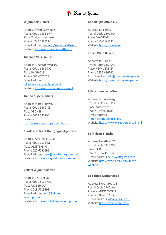

## **Wijnimport J. Bart**

Address Kwadijkerweg 8 Postal Code 1461 DW Place Zuidoostbeemster Phone 0299 689111 E-mail address [miriam@wijnimportbart.nl](mailto:miriam@wijnimportbart.nl) Website [http://www.wijnimportbart.nl](http://www.wijnimportbart.nl/)

## **Julienne Vins Finnish**

Address Mheerderweg 16 Postal Code 6262 NC Place BANHOLT Phone 043 4572622 E-mail address [juliennewijnimport@home.nl](mailto:juliennewijnimport@home.nl) Website [http://www.juliennevinsfins.nl](http://www.juliennevinsfins.nl/)

#### **Jumbo Supermarkets**

Address State Highway 15 Postal Code 5462 CE Place VEGHEL Phone 0413 380200 Website [http://www.jumbosupermarkten.nl](http://www.jumbosupermarkten.nl/)

## **Charles de Graaf Bourgogne Agencies**

Address Amsteldijk 128B Postal Code 1078 RT Place AMSTERDAM Phone 020 6641595 E-mail address [karel@graafbourgognes.nl](mailto:karel@graafbourgognes.nl) Website [http://www.graafbourgognes.nl](http://www.graafbourgognes.nl/)

## **Cellars Wijnimport vof**

Address P.O. Box 36 Postal Code 5070 AA Place UDENHOUT Phone 013 5119898 E-mail address [info@kelders](mailto:info@kelders-wijnimport.nl)[wijnimport.nl](mailto:info@kelders-wijnimport.nl) Website [http://www.kelders-wijnimport.nl](http://www.kelders-wijnimport.nl/)

#### **Koninklijke Ahold NV**

Address Box 3000 Postal Code 1500 HA Place ZAANDAM Phone 075-6599111 Website [http://www.ah.nl](http://www.ah.nl/)

## **Tassel Wine Buyers**

Address P.O. Box 3 Postal Code 2150 AA Place NEW VENNEP Phone 0252 686741 E-mail address [info@kwastwijnkopers.nl](mailto:info@kwastwijnkopers.nl) Website [http://www.kwastwijnkopers.nl](http://www.kwastwijnkopers.nl/)

## **L'Exception Lenselink**

Address Zonnenberg 8 Postal Code 2716 PG Place Zoetermeer Phone 079 3600788 E-mail address [info@lexceptionlenselink.nl](mailto:info@lexceptionlenselink.nl) Website [http://www.lexceptionlenselink.nl](http://www.lexceptionlenselink.nl/)

### **La Maison Blanche**

Address Horstlaan 21 Postal Code 2411 WE Place BURIING Phone 06-52456724 E-mail address [heuvwyn@gmail.com](mailto:heuvwyn@gmail.com) Website [http://www.lamaisonblanche](http://www.lamaisonblanche-wijnen.nl/)[wijnen.nl](http://www.lamaisonblanche-wijnen.nl/)

#### **La Source Netherlands**

Address Export route 8 Postal Code 2740 AA Place WADDINXVEEN Phone 0180-635135 E-mail address [info@la-source.nl](mailto:info@la-source.nl) Website [http://www.la-source.nl](http://www.la-source.nl/)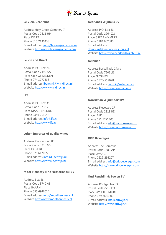

## **Le Vieux Jean Vins**

Address Holy Ghost Cemetery 7 Postal Code 2611 HP Place DELFT Phone 015 2130433 E-mail address [info@levieuxjeanvins.com](mailto:info@levieuxjeanvins.com) Website [http://www.levieuxjeanvins.com](http://www.levieuxjeanvins.com/)

# **Le Vin and Direct**

Address P.O. Box 26 Postal Code 7490 AA Place CITY OF DELDEN Phone 074 3777333 E-mail address [jbennink@vin-direct.nl](mailto:jbennink@vin-direct.nl) Website [http://www.vin-direct.nl](http://www.vin-direct.nl/)

# **LFE**

Address P.O. Box 35 Postal Code 3738 ZL Place MAARTENSDIJK Phone 0346 213044 E-mail address [info@lfe.nl](mailto:info@lfe.nl) Website [http://www.lfe.nl](http://www.lfe.nl/)

## **Luiten Importer of quality wines**

Address Planckstraat 80 Postal Code 3316 GS Place DORDRECHT Phone 078 6170055 E-mail address [info@luitenwijn.nl](mailto:info@luitenwijn.nl) Website [http://www.luitenwijn.nl](http://www.luitenwijn.nl/)

# **Moët-Hennesy (The Netherlands) BV**

Address Box 58 Postal Code 3740 AB Place BAARN Phone 035 6946014 E-mail address [info@moethennessy.nl](mailto:info@moethennessy.nl) Website [http://www.moethennessy.nl](http://www.moethennessy.nl/)

## **Neerlands Wijnhuis BV**

Address P.O. Box 33 Postal Code 2964 ZG Place GREAT AMMERS Phone 0184 662080 E-mail address [domburg@neerlandswijnhuis.nl](mailto:domburg@neerlandswijnhuis.nl) Website [http://www.neerlandswijnhuis.nl](http://www.neerlandswijnhuis.nl/)

# **Neleman**

Address Berkelkade 14a-b Postal Code 7201 JE Place ZUTPHEN Phone 0575-557098 E-mail address [derrick@neleman.es](mailto:derrick@neleman.es) Website [http://www.neleman.org](http://www.neleman.org/)

## **Noordman Wijnimport BV**

Address Flevoweg 17 Postal Code 2318 BZ Place LEAD Phone 071 5221405 E-mail address [info@noordmanwijn.nl](mailto:info@noordmanwijn.nl) Website [http://www.noordmanwijn.nl](http://www.noordmanwijn.nl/)

## **ODB Beverages**

Address The Corantijn 10 Postal Code 1689 AP Place SWAAG Phone 0229-295207 E-mail address [info@odbbeverages.com](mailto:info@odbbeverages.com) Website [http://www.odbbeverages.com](http://www.odbbeverages.com/)

## **Oud Reuchlin & Boelen BV**

Address Röntgenlaan 3 Postal Code 2719 DX Place SWEETER MORE Phone 079 3634800 E-mail address [info@orbwijn.nl](mailto:info@orbwijn.nl) Website [http://www.orbwijn.nl](http://www.orbwijn.nl/)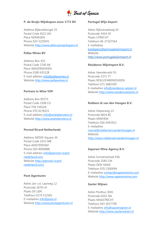

#### **P. de Bruijn Wijnkopers anno 1772 BV**

Address Bijleveldsingel 25 Postal Code 6521 AN Place NIJMEGEN Phone 024 3229301 Website [http://www.debruijnwijnkopers.nl](http://www.debruijnwijnkopers.nl/)

## **Pallas Wines BV**

Address Box 425 Postal Code 2740 AK Place WADDINXVEEN Phone 0180 635128 E-mail address [info@pallaswines.nl](mailto:info@pallaswines.nl) Website [http://www.pallaswines.nl](http://www.pallaswines.nl/)

## **Partners in Wine VOF**

Address Box 85575 Postal Code 2508 CG Place THE HAGUE Phone 070 4278321 E-mail address [info@andrekerstens.nl](mailto:info@andrekerstens.nl) Website [http://www.andrekerstens.nl](http://www.andrekerstens.nl/)

# **Pernod Ricard Netherlands**

Address NDSM-Square 34 Postal Code 1033 WB Place AMSTERDAM Phone 020-8000888 E-mail address [info@pernod-ricard](mailto:info@pernod-ricard-nederland.com)[nederland.com](mailto:info@pernod-ricard-nederland.com) Website [http://pernod-ricard](http://pernod-ricard-nederland.com/)[nederland.com/](http://pernod-ricard-nederland.com/)

## **Poot Agenturen**

Adres Jan v.d. Laarweg 12 Postcode 2678 LH Plaats DE LIER Telefoon 0174 512561 E-mailadres [info@poot.nl](mailto:info@poot.nl) Website [http://www.pootagenturen.nl](http://www.pootagenturen.nl/)

#### **Portugal Wijn Import**

Adres Rijksstraatweg 63 Postcode 3454 JD Plaats UTRECHT Telefoon 06-27167564 E-mailadres [karelgeers@portugalwijnimport.nl](mailto:karelgeers@portugalwijnimport.nl) Website [http://www.portugalwijnimport.nl](http://www.portugalwijnimport.nl/)

## **Résidence Wijnimport B.V.**

Adres Veenderveld 55 Postcode 2371 TT Plaats ROELOFARENDSVEEN Telefoon 071 5683300 E-mailadres [info@residence-wijnen.nl](mailto:info@residence-wijnen.nl) Website [http://www.residencewijnen.nl](http://www.residencewijnen.nl/)

## **Robbers & van den Hoogen B.V.**

Adres Velperweg 23 Postcode 6824 BC Plaats ARNHEM Telefoon 026 4455912 E-mailadres [marcel@robbersenvandenhoogen.nl](mailto:marcel@robbersenvandenhoogen.nl) Website [http://www.robbersenvandenhoogen.nl](http://www.robbersenvandenhoogen.nl/)

## **Saperavi Wine Agency B.V.**

Adres Sumatrastraat 43b Postcode 2585 CM Plaats DEN HAAG Telefoon 070-2500094 E-mailadres [contact@saperaviwine.com](mailto:contact@saperaviwine.com) Website [http://www.saperaviwine.com](http://www.saperaviwine.com/)

#### **Sauter Wijnen**

Adres Postbus 3041 Postcode 6202 NA Plaats MAASTRICHT Telefoon 043 3637799 E-mailadres [info@sauterwijnen.nl](mailto:info@sauterwijnen.nl) Website [http://www.sauterwijnen.nl](http://www.sauterwijnen.nl/)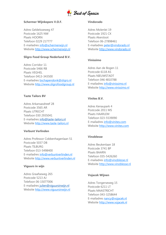

#### **Schermer Wijnkopers V.O.F.**

Adres Geldelozeweg 47 Postcode 1625 NW Plaats HOORN Telefoon 0229 217777 E-mailadres [info@schermerwijn.nl](mailto:info@schermerwijn.nl) Website [http://www.schermerwijn.nl](http://www.schermerwijn.nl/)

#### **Sligro Food Group Nederland B.V.**

Adres Corridor 11 Postcode 5466 RB Plaats VEGHEL Telefoon 0413-343500 E-mailadres [bschapendonk@sligro.nl](mailto:bschapendonk@sligro.nl) Website [http://www.sligrofoodgroup.nl](http://www.sligrofoodgroup.nl/)

#### **Taste Tailors BV**

Adres Arkansasdreef 28 Postcode 3565 AR Plaats UTRECHT Telefoon 030 2935041 E-mailadres [info@taste-tailors.nl](mailto:info@taste-tailors.nl) Website [http://www.taste-tailors.nl](http://www.taste-tailors.nl/)

#### **Verbunt Verlinden**

Adres Professor Cobbenhagenlaan 51 Postcode 5037 DB Plaats TILBURG Telefoon 013-5498400 E-mailadres [info@verbuntverlinden.nl](mailto:info@verbuntverlinden.nl) Website [http://www.verbuntverlinden.nl](http://www.verbuntverlinden.nl/)

#### **Viguurs in wijn**

Adres Graafseweg 265 Postcode 5213 AJ Telefoon 06-15077006 E-mailadres [julien@viguursinwijn.nl](mailto:julien@viguursinwijn.nl) Website [http://www.viguursinwijn.nl](http://www.viguursinwijn.nl/)

#### **Vindorado**

Adres Molenlei 19 Postcode 1921 CX Plaats Akersloot Telefoon 06-27898461 E-mailadres [peter@vindorado.nl](mailto:peter@vindorado.nl) Website [http://www.vindorado.nl](http://www.vindorado.nl/)

#### **Vinissimo**

Adres Aan de Bogen 11 Postcode 6118 AS Plaats NIEUWSTADT Telefoon 046 4810788 E-mailadres [info@vinissimo.nl](mailto:info@vinissimo.nl) Website [http://www.vinissimo.nl](http://www.vinissimo.nl/)

# **Vinites B.V.**

Adres Kenaupark 4 Postcode 2011 MS Plaats HAARLEM Telefoon 023-5539090 E-mailadres [info@vinites.com](mailto:info@vinites.com) Website [http://www.vinites.com](http://www.vinites.com/)

### **Vinoblesse**

Adres Beukenlaan 18 Postcode 3741 BP Plaats BAARN Telefoon 035-5426260 E-mailadres [info@vinoblesse.nl](mailto:info@vinoblesse.nl) Website [http://www.vinoblesse.nl](http://www.vinoblesse.nl/)

#### **Vojacek Wijnen**

Adres Tongerseweg 15 Postcode 6211 LT Plaats MAASTRICHT Telefoon 043-3258644 E-mailadres [nancy@vojacek.nl](mailto:nancy@vojacek.nl) Website [http://www.vojacek.nl](http://www.vojacek.nl/)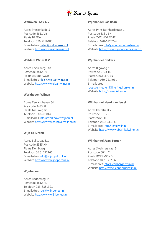

#### **Walraven | Sax C.V.**

Adres Prinsenkade 5 Postcode 4811 VB Plaats BREDA Telefoon 076 5256480 E-mailadres [order@walravensax.nl](mailto:order@walravensax.nl) Website [http://www.walravensax.nl](http://www.walravensax.nl/)

## **Weldam Wines B.V.**

Adres Textielweg 18a Postcode 3812 RV Plaats AMERSFOORT E-mailadres [niels@weldamwines.nl](mailto:niels@weldamwines.nl) Website [http://www.weldamwines.nl](http://www.weldamwines.nl/)

## **Werkhoven Wijnen**

Adres Zeelandhaven 5d Postcode 3433 PL Plaats Nieuwegein Telefoon 030 6020143 E-mailadres [info@werkhovenwijnen.nl](mailto:info@werkhovenwijnen.nl) Website [http://www.werkhovenwijnen.nl](http://www.werkhovenwijnen.nl/)

# **Wijn op Dronk**

Adres Balistraat 81b Postcode 2585 XN Plaats Den Haag Telefoon 06 51792166 E-mailadres [info@wijnopdronk.nl](mailto:info@wijnopdronk.nl) Website [http://www.wijnopdronk.nl](http://www.wijnopdronk.nl/)

## **Wijnbeheer**

Adres Radonweg 24 Postcode 3812 RL Telefoon 033-8881321 E-mailadres [roel@wijnbeheer.nl](mailto:roel@wijnbeheer.nl) Website [http://www.wijnbeheer.nl](http://www.wijnbeheer.nl/)

#### **Wijnhandel Bas Baan**

Adres Prins Bernhardstraat 1 Postcode 3331 BN Plaats ZWIJNDRECHT Telefoon 078-6125226 E-mailadres [info@wijnhandelbasbaan.n](mailto:info@wijnhandelbasbaan.n) Website [http://www.wijnhandelbasbaan.nl](http://www.wijnhandelbasbaan.nl/)

## **Wijnhandel Dikkers**

Adres Rigaweg 5 Postcode 9723 TE Plaats GRONINGEN Telefoon 050-7114011 E-mailadres [joost.vermeulen@lijferingdranken.nl](mailto:joost.vermeulen@lijferingdranken.nl) Website [http://www.dikkers.nl](http://www.dikkers.nl/)

## **Wijnhandel Henri van Iersel**

Adres Kerkstraat 2 Postcode 5165 CG Plaats WASPIK Telefoon 0416 311331 E-mailadres [info@ierselwijn.nl](mailto:info@ierselwijn.nl) Website [http://www.webwinkelwijnen.nl](http://www.webwinkelwijnen.nl/)

## **Wijnhandel Jean Berger**

Adres Swalmerstraat 5 Postcode 6041 CV Plaats ROERMOND Telefoon 0475 332 966 E-mailadres [info@jeanbergerwijn.nl](mailto:info@jeanbergerwijn.nl) Website [http://www.jeanbergerwijn.nl](http://www.jeanbergerwijn.nl/)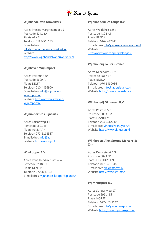

## **Wijnhandel van Ouwerkerk**

Adres Prinses Margrietstraat 19 Postcode 4241 BA Plaats ARKEL Telefoon 0183-561133 E-mailadres [info@wijnhandelvanouwerkerk.nl](mailto:info@wijnhandelvanouwerkerk.nl) Website [http://www.wijnhandelvanouwerkerk.nl](http://www.wijnhandelvanouwerkerk.nl/)

## **Wijnhaven Wijnimport**

Adres Postbus 360 Postcode 2600 AJ Plaats DELFT Telefoon 010-4856900 E-mailadres [info@wijnhaven](mailto:info@wijnhaven-wijnimport.nl)[wijnimport.nl](mailto:info@wijnhaven-wijnimport.nl) Website [http://www.wijnhaven](http://www.wijnhaven-wijnimport.nl/)[wijnimport.nl](http://www.wijnhaven-wijnimport.nl/)

## **Wijnimport Jos Rijnaarts**

Adres Edisonweg 14 Postcode 1821 BN Plaats ALKMAAR Telefoon 072-5118537 E-mailadres [info@jr.nl](mailto:info@jr.nl) Website [http://www.jr.nl](http://www.jr.nl/)

#### **Wijnkooper B.V.**

Adres Prins Hendrikstraat 43a Postcode 2518 HJ Plaats DEN HAAG Telefoon 070 3637016 E-mailadres [wijnhandel.kooper@planet.nl](mailto:wijnhandel.kooper@planet.nl)

#### **Wijnkooperij De Lange B.V.**

Adres Weidehek 125b Postcode 4824 AT Plaats BREDA Telefoon 0162 447847 E-mailadres [info@wijnkooperijdelange.nl](mailto:info@wijnkooperijdelange.nl) Website [http://www.wijnkooperijdelange.nl](http://www.wijnkooperijdelange.nl/)

## **Wijnkoperij La Persistance**

Adres Minervum 7374 Postcode 4817 ZH Plaats BREDA Telefoon 076-5430036 E-mailadres [info@lapersistance.nl](mailto:info@lapersistance.nl) Website [http://www.lapersistance.nl](http://www.lapersistance.nl/)

## **Wijnkoperij Okhuysen B.V.**

Adres Postbus 501 Postcode 2003 RM Plaats HAARLEM Telefoon 023 5312240 E-mailadres [vineus@okhuysen.nl](mailto:vineus@okhuysen.nl) Website [http://www.okhuysen.nl](http://www.okhuysen.nl/)

# **Wijnkopers Alex Storms-Mertens & Znn**

Adres Dorpsstraat 108 Postcode 6093 ED Plaats HEYTHUYSEN Telefoon 0475 491348 E-mailadres [alex@storms.nl](mailto:alex@storms.nl) Website [http://www.storms.nl](http://www.storms.nl/)

## **Wijntransport B.V.**

Adres Songertweg 17 Postcode 5961 NG Plaats HORST Telefoon 077-463 2147 E-mailadres [info@wijntransport.nl](mailto:info@wijntransport.nl) Website [http://www.wijntransport.nl](http://www.wijntransport.nl/)